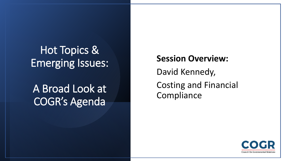## Hot Topics & Emerging Issues:

## A Broad Look at COGR's Agenda

**Session Overview:**  David Kennedy, Costing and Financial **Compliance** 

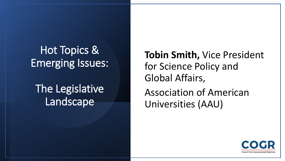## Hot Topics & Emerging Issues:

## The Legislative **Landscape**

**Tobin Smith,** Vice President for Science Policy and Global Affairs, Association of American Universities (AAU)

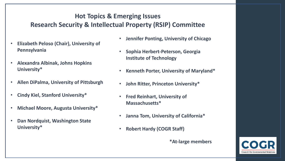### **Hot Topics & Emerging Issues Research Security & Intellectual Property (RSIP) Committee**

- **Elizabeth Peloso (Chair), University of Pennsylvania**
- **Alexandra Albinak, Johns Hopkins University\***
- **Allen DiPalma, University of Pittsburgh**
- **Cindy Kiel, Stanford University\***
- **Michael Moore, Augusta University\***
- **Dan Nordquist, Washington State University\***
- **Jennifer Ponting, University of Chicago**
- **Sophia Herbert-Peterson, Georgia Institute of Technology**
- **Kenneth Porter, University of Maryland\***
- **John Ritter, Princeton University\***
- **Fred Reinhart, University of Massachusetts\***
- **Janna Tom, University of California\***
- **Robert Hardy (COGR Staff)**

**\*At-large members**

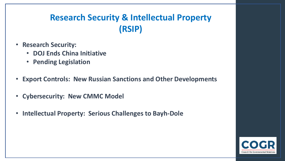## **Research Security & Intellectual Property (RSIP)**

- **Research Security:** 
	- **DOJ Ends China Initiative**
	- **Pending Legislation**
- **Export Controls: New Russian Sanctions and Other Developments**
- **Cybersecurity: New CMMC Model**
- **Intellectual Property: Serious Challenges to Bayh-Dole**

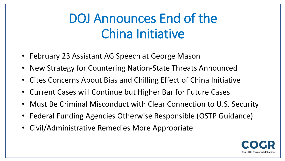# DOJ Announces End of the China Initiative

- February 23 Assistant AG Speech at George Mason
- New Strategy for Countering Nation-State Threats Announced
- Cites Concerns About Bias and Chilling Effect of China Initiative
- Current Cases will Continue but Higher Bar for Future Cases
- Must Be Criminal Misconduct with Clear Connection to U.S. Security
- Federal Funding Agencies Otherwise Responsible (OSTP Guidance)
- Civil/Administrative Remedies More Appropriate

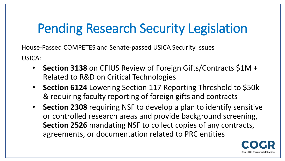# Pending Research Security Legislation

House-Passed COMPETES and Senate-passed USICA Security Issues USICA:

- **Section 3138** on CFIUS Review of Foreign Gifts/Contracts \$1M + Related to R&D on Critical Technologies
- **Section 6124** Lowering Section 117 Reporting Threshold to \$50k & requiring faculty reporting of foreign gifts and contracts
- **Section 2308** requiring NSF to develop a plan to identify sensitive or controlled research areas and provide background screening, **Section 2526** mandating NSF to collect copies of any contracts, agreements, or documentation related to PRC entities

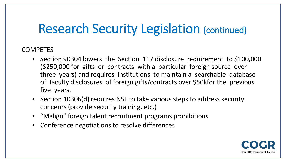# Research Security Legislation (continued)

### COMPETES

- Section 90304 lowers the Section 117 disclosure requirement to \$100,000 (\$250,000 for gifts or contracts with a particular foreign source over three years) and requires institutions to maintain a searchable database of faculty disclosures of foreign gifts/contracts over \$50kfor the previous five years.
- Section 10306(d) requires NSF to take various steps to address security concerns (provide security training, etc.)
- "Malign" foreign talent recruitment programs prohibitions
- Conference negotiations to resolve differences

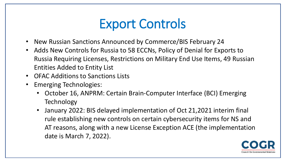# Export Controls

- New Russian Sanctions Announced by Commerce/BIS February 24
- Adds New Controls for Russia to 58 ECCNs, Policy of Denial for Exports to Russia Requiring Licenses, Restrictions on Military End Use Items, 49 Russian Entities Added to Entity List
- OFAC Additions to Sanctions Lists
- Emerging Technologies:
	- October 16, ANPRM: Certain Brain-Computer Interface (BCI) Emerging **Technology**
	- January 2022: BIS delayed implementation of Oct 21,2021 interim final rule establishing new controls on certain cybersecurity items for NS and AT reasons, along with a new License Exception ACE (the implementation date is March 7, 2022).

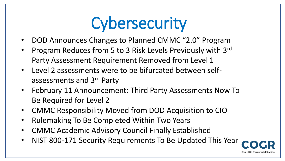# **Cybersecurity**

- DOD Announces Changes to Planned CMMC "2.0" Program
- Program Reduces from 5 to 3 Risk Levels Previously with 3rd Party Assessment Requirement Removed from Level 1
- Level 2 assessments were to be bifurcated between selfassessments and 3rd Party
- February 11 Announcement: Third Party Assessments Now To Be Required for Level 2
- CMMC Responsibility Moved from DOD Acquisition to CIO
- Rulemaking To Be Completed Within Two Years
- CMMC Academic Advisory Council Finally Established
- NIST 800-171 Security Requirements To Be Updated This Year

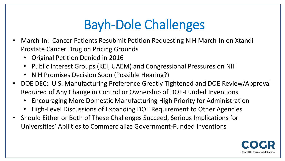# Bayh-Dole Challenges

- March-In: Cancer Patients Resubmit Petition Requesting NIH March-In on Xtandi Prostate Cancer Drug on Pricing Grounds
	- Original Petition Denied in 2016
	- Public Interest Groups (KEI, UAEM) and Congressional Pressures on NIH
	- NIH Promises Decision Soon (Possible Hearing?)
- DOE DEC: U.S. Manufacturing Preference Greatly Tightened and DOE Review/Approval Required of Any Change in Control or Ownership of DOE-Funded Inventions
	- Encouraging More Domestic Manufacturing High Priority for Administration
	- High-Level Discussions of Expanding DOE Requirement to Other Agencies
- Should Either or Both of These Challenges Succeed, Serious Implications for Universities' Abilities to Commercialize Government-Funded Inventions

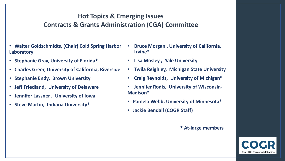### **Hot Topics & Emerging Issues Contracts & Grants Administration (CGA) Committee**

- **Walter Goldschmidts, (Chair) Cold Spring Harbor Laboratory**
- **Stephanie Gray, University of Florida\***
- **Charles Greer, University of California, Riverside**
- **Stephanie Endy, Brown University**
- **Jeff Friedland, University of Delaware**
- **Jennifer Lassner , University of Iowa**
- **Steve Martin, Indiana University\***
- **Bruce Morgan , University of California, Irvine\***
- **Lisa Mosley , Yale University**
- **Twila Reighley, Michigan State University**
- **Craig Reynolds, University of Michigan\***
- **Jennifer Rodis, University of Wisconsin-Madison\***
- **Pamela Webb, University of Minnesota\***
- **Jackie Bendall (COGR Staff)**

#### **\* At-large members**

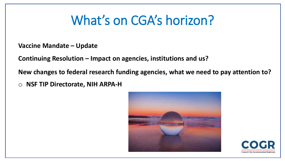# What's on CGA's horizon?

**Vaccine Mandate – Update** 

**Continuing Resolution – Impact on agencies, institutions and us?**

**New changes to federal research funding agencies, what we need to pay attention to?**

o **NSF TIP Directorate, NIH ARPA-H**



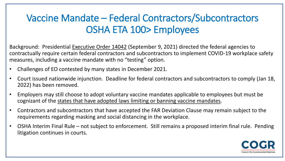## Vaccine Mandate – Federal Contractors/Subcontractors OSHA ETA 100> Employees

Background: Presidential [Executive Order 14042](https://www.whitehouse.gov/briefing-room/presidential-actions/2021/09/09/executive-order-on-ensuring-adequate-covid-safety-protocols-for-federal-contractors/) (September 9, 2021) directed the federal agencies to contractually require certain federal contractors and subcontractors to implement COVID-19 workplace safety measures, including a vaccine mandate with no "testing" option.

- Challenges of EO contested by many states in December 2021.
- Court issued nationwide injunction. Deadline for federal contractors and subcontractors to comply (Jan 18, 2022) has been removed.
- Employers may still choose to adopt voluntary vaccine mandates applicable to employees but must be cognizant of the [states that have adopted laws limiting or banning vaccine mandates](https://www.littler.com/publication-press/publication/mandatory-employee-vaccines-coming-state-near-you).
- Contractors and subcontractors that have accepted the FAR Deviation Clause may remain subject to the requirements regarding masking and social distancing in the workplace.
- OSHA Interim Final Rule not subject to enforcement. Still remains a proposed interim final rule. Pending litigation continues in courts.

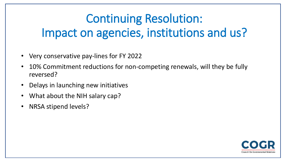# Continuing Resolution: Impact on agencies, institutions and us?

- Very conservative pay-lines for FY 2022
- 10% Commitment reductions for non-competing renewals, will they be fully reversed?
- Delays in launching new initiatives
- What about the NIH salary cap?
- NRSA stipend levels?

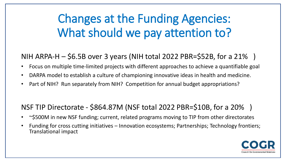# Changes at the Funding Agencies: What should we pay attention to?

### NIH ARPA-H  $-$  \$6.5B over 3 years (NIH total 2022 PBR=\$52B, for a 21%)

- Focus on multiple time-limited projects with different approaches to achieve a quantifiable goal
- DARPA model to establish a culture of championing innovative ideas in health and medicine.
- Part of NIH? Run separately from NIH? Competition for annual budget appropriations?

## NSF TIP Directorate - \$864.87M (NSF total 2022 PBR=\$10B, for a 20% )

- ~\$500M in new NSF funding; current, related programs moving to TIP from other directorates
- Funding for cross cutting initiatives Innovation ecosystems; Partnerships; Technology frontiers; Translational impact

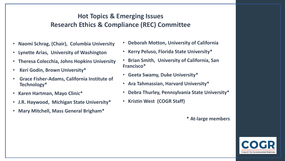### **Hot Topics & Emerging Issues Research Ethics & Compliance (REC) Committee**

- **Naomi Schrag, (Chair), Columbia University**
- **Lynette Arias, University of Washington**
- **Theresa Colecchia, Johns Hopkins University**
- **Keri Godin, Brown University\***
- **Grace Fisher-Adams, California Institute of Technology\***
- **Karen Hartman, Mayo Clinic\***
- **J.R. Haywood, Michigan State University\***
- **Mary Mitchell, Mass General Brigham\***
- **Deborah Motton, University of California**
- **Kerry Peluso, Florida State University\***
- **Brian Smith, University of California, San Francisco\***
- **Geeta Swamy, Duke University\***
- **Ara Tahmassian, Harvard University\***
- **Debra Thurley, Pennsylvania State University\***
- **Kristin West (COGR Staff)**

**\* At-large members**

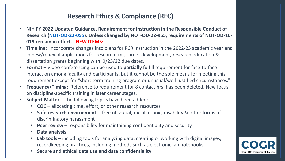### **Research Ethics & Compliance (REC)**

- **NIH FY 2022 Updated Guidance, Requirement for Instruction in the Responsible Conduct of Research ([NOT-OD-22-055](https://grants.nih.gov/grants/guide/notice-files/NOT-OD-22-055.html)). Unless changed by NOT-OD-22-955, requirements of NOT-OD-10- 019 remain in effect. NEW ITEMS:**
- **Timeline**: Incorporate changes into plans for RCR instruction in the 2022-23 academic year and in new/renewal applications for research trg., career development, research education & dissertation grants beginning with 9/25/22 due dates.
- **Format –** Video conferencing can be used to **partially** fulfill requirement for face-to-face interaction among faculty and participants, but it cannot be the sole means for meeting this requirement except for "short term training program or unusual/well-justified circumstances."
- **Frequency/Timing:** Reference to requirement for 8 contact hrs. has been deleted. New focus on discipline-specific training in later career stages.
- **Subject Matter**  The following topics have been added:
	- **COC** allocating time, effort, or other research resources
	- **Safe research environment** -- free of sexual, racial, ethnic, disability & other forms of discriminatory harassment
	- **Peer review**  responsibility for maintaining confidentiality and security
	- **Data analysis**
	- Lab tools including tools for analyzing data, creating or working with digital images, recordkeeping practices, including methods such as electronic lab notebooks
	- **Secure and ethical data use and data confidentiality**

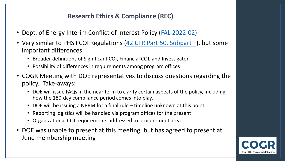### **Research Ethics & Compliance (REC)**

- Dept. of Energy Interim Conflict of Interest Policy [\(FAL 2022-02\)](https://www.energy.gov/sites/default/files/2021-12/Interim%20COI%20Policy%20FAL2022-02%20to%20SPEs.pdf)
- Very similar to PHS FCOI Regulations [\(42 CFR Part 50, Subpart F\)](https://www.ecfr.gov/current/title-42/chapter-I/subchapter-D/part-50/subpart-F), but some important differences:
	- Broader definitions of Significant COI, Financial COI, and Investigator
	- Possibility of differences in requirements among program offices
- COGR Meeting with DOE representatives to discuss questions regarding the policy. Take-aways:
	- DOE will issue FAQs in the near term to clarify certain aspects of the policy, including how the 180-day compliance period comes into play.
	- DOE will be issuing a NPRM for a final rule timeline unknown at this point
	- Reporting logistics will be handled via program offices for the present
	- Organizational COI requirements addressed to procurement area
- DOE was unable to present at this meeting, but has agreed to present at June membership meeting

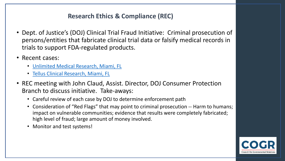### **Research Ethics & Compliance (REC)**

- Dept. of Justice's (DOJ) Clinical Trial Fraud Initiative: Criminal prosecution of persons/entities that fabricate clinical trial data or falsify medical records in trials to support FDA-regulated products.
- Recent cases:
	- [Unlimited Medical Research, Miami, FL](https://www.fda.gov/inspections-compliance-enforcement-and-criminal-investigations/press-releases/medical-doctor-and-study-coordinator-sentenced-prison-scheme-falsify-clinical-trial-data)
	- [Tellus Clinical Research, Miami, FL](https://www.justice.gov/opa/pr/florida-study-coordinator-sentenced-scheme-falsify-clinical-drug-trial-data)
- REC meeting with John Claud, Assist. Director, DOJ Consumer Protection Branch to discuss initiative. Take-aways:
	- Careful review of each case by DOJ to determine enforcement path
	- Consideration of "Red Flags" that may point to criminal prosecution -- Harm to humans; impact on vulnerable communities; evidence that results were completely fabricated; high level of fraud; large amount of money involved.
	- Monitor and test systems!

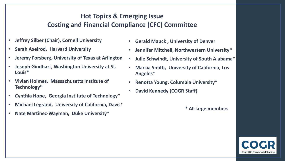### **Hot Topics & Emerging Issue Costing and Financial Compliance (CFC) Committee**

- **Jeffrey Silber (Chair), Cornell University**
- **Sarah Axelrod, Harvard University**
- **Jeremy Forsberg, University of Texas at Arlington**
- **Joseph Gindhart, Washington University at St. Louis\***
- **Vivian Holmes, Massachusetts Institute of Technology\***
- **Cynthia Hope, Georgia Institute of Technology\***
- **Michael Legrand, University of California, Davis\***
- **Nate Martinez-Wayman, Duke University\***
- **Gerald Mauck , University of Denver**
- **Jennifer Mitchell, Northwestern University\***
- **Julie Schwindt, University of South Alabama\***
- **Marcia Smith, University of California, Los Angeles\***
- **Renotta Young, Columbia University\***
- **David Kennedy (COGR Staff)**

**\* At-large members**